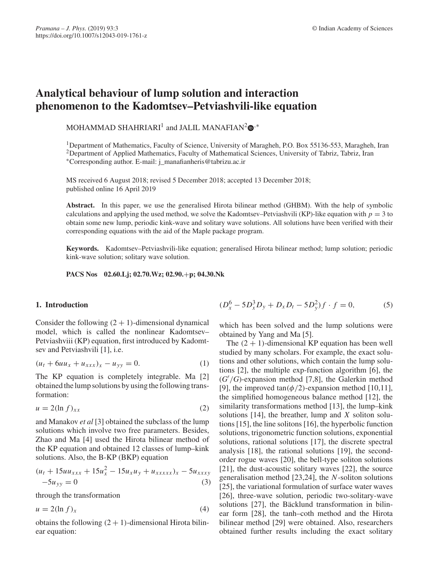# **Analytical behaviour of lump solution and interaction phenomenon to the Kadomtsev–Petviashvili-like equation**

MOHAMMAD SHAHRIARI<sup>1</sup> and JALIL MANAFIAN<sup>2</sup> $\mathbf{D}^{,*}$ 

1Department of Mathematics, Faculty of Science, University of Maragheh, P.O. Box 55136-553, Maragheh, Iran <sup>2</sup>Department of Applied Mathematics, Faculty of Mathematical Sciences, University of Tabriz, Tabriz, Iran ∗Corresponding author. E-mail: j\_manafianheris@tabrizu.ac.ir

MS received 6 August 2018; revised 5 December 2018; accepted 13 December 2018; published online 16 April 2019

**Abstract.** In this paper, we use the generalised Hirota bilinear method (GHBM). With the help of symbolic calculations and applying the used method, we solve the Kadomtsev–Petviashvili (KP)-like equation with  $p = 3$  to obtain some new lump, periodic kink-wave and solitary wave solutions. All solutions have been verified with their corresponding equations with the aid of the Maple package program.

**Keywords.** Kadomtsev–Petviashvili-like equation; generalised Hirota bilinear method; lump solution; periodic kink-wave solution; solitary wave solution.

**PACS Nos 02.60.Lj; 02.70.Wz; 02.90.**+**p; 04.30.Nk**

## **1. Introduction**

Consider the following  $(2 + 1)$ -dimensional dynamical model, which is called the nonlinear Kadomtsev– Petviashviii (KP) equation, first introduced by Kadomtsev and Petviashvili [1], i.e.

$$
(u_t + 6uu_x + u_{xxx})_x - u_{yy} = 0.
$$
 (1)

The KP equation is completely integrable. Ma [2] obtained the lump solutions by using the following transformation:

$$
u = 2(\ln f)_{xx} \tag{2}
$$

and Manakov *et al* [3] obtained the subclass of the lump solutions which involve two free parameters. Besides, Zhao and Ma [4] used the Hirota bilinear method of the KP equation and obtained 12 classes of lump–kink solutions. Also, the B-KP (BKP) equation

$$
(ut + 15uuxxx + 15ux2 - 15uxuy + uxxxxx)x - 5uxxxy-5uyy = 0
$$
 (3)

through the transformation

$$
u = 2(\ln f)_x \tag{4}
$$

obtains the following  $(2 + 1)$ -dimensional Hirota bilinear equation:

$$
(D_x^6 - 5D_x^3 D_y + D_x D_t - 5D_y^2) f \cdot f = 0,
$$
 (5)

which has been solved and the lump solutions were obtained by Yang and Ma [5].

The  $(2 + 1)$ -dimensional KP equation has been well studied by many scholars. For example, the exact solutions and other solutions, which contain the lump solutions [2], the multiple exp-function algorithm [6], the  $(G'/G)$ -expansion method [7,8], the Galerkin method [9], the improved tan $(\phi/2)$ -expansion method [10,11], the simplified homogeneous balance method [12], the similarity transformations method [13], the lump–kink solutions [14], the breather, lump and *X* soliton solutions [15], the line solitons [16], the hyperbolic function solutions, trigonometric function solutions, exponential solutions, rational solutions [17], the discrete spectral analysis [18], the rational solutions [19], the secondorder rogue waves [20], the bell-type soliton solutions [21], the dust-acoustic solitary waves [22], the source generalisation method [23,24], the *N*-soliton solutions [25], the variational formulation of surface water waves [26], three-wave solution, periodic two-solitary-wave solutions [27], the Bäcklund transformation in bilinear form [28], the tanh–coth method and the Hirota bilinear method [29] were obtained. Also, researchers obtained further results including the exact solitary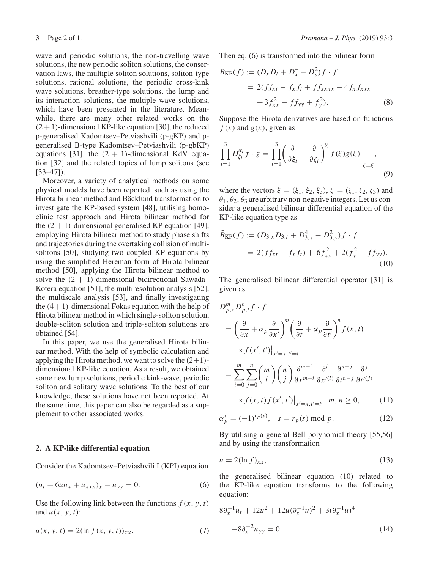wave and periodic solutions, the non-travelling wave solutions, the new periodic soliton solutions, the conservation laws, the multiple soliton solutions, soliton-type solutions, rational solutions, the periodic cross-kink wave solutions, breather-type solutions, the lump and its interaction solutions, the multiple wave solutions, which have been presented in the literature. Meanwhile, there are many other related works on the  $(2 + 1)$ -dimensional KP-like equation [30], the reduced p-generalised Kadomtsev–Petviashvili (p-gKP) and pgeneralised B-type Kadomtsev–Petviashvili (p-gbKP) equations [31], the  $(2 + 1)$ -dimensional KdV equation [32] and the related topics of lump solitons (see [33–47]).

Moreover, a variety of analytical methods on some physical models have been reported, such as using the Hirota bilinear method and Bäcklund transformation to investigate the KP-based system [48], utilising homoclinic test approach and Hirota bilinear method for the  $(2 + 1)$ -dimensional generalised KP equation [49], employing Hirota bilinear method to study phase shifts and trajectories during the overtaking collision of multisolitons [50], studying two coupled KP equations by using the simplified Hereman form of Hirota bilinear method [50], applying the Hirota bilinear method to solve the  $(2 + 1)$ -dimensional bidirectional Sawada– Kotera equation [51], the multiresolution analysis [52], the multiscale analysis [53], and finally investigating the  $(4+1)$ -dimensional Fokas equation with the help of Hirota bilinear method in which single-soliton solution, double-soliton solution and triple-soliton solutions are obtained [54].

In this paper, we use the generalised Hirota bilinear method. With the help of symbolic calculation and applying the Hirota method, we want to solve the  $(2+1)$ dimensional KP-like equation. As a result, we obtained some new lump solutions, periodic kink-wave, periodic soliton and solitary wave solutions. To the best of our knowledge, these solutions have not been reported. At the same time, this paper can also be regarded as a supplement to other associated works.

#### **2. A KP-like differential equation**

Consider the Kadomtsev–Petviashvili I (KPI) equation

$$
(u_t + 6uu_x + u_{xxx})_x - u_{yy} = 0.
$$
 (6)

Use the following link between the functions  $f(x, y, t)$ and  $u(x, y, t)$ :

$$
u(x, y, t) = 2(\ln f(x, y, t))_{xx}.
$$
 (7)

Then eq. (6) is transformed into the bilinear form

$$
B_{KP}(f) := (D_x D_t + D_x^4 - D_y^2) f \cdot f
$$
  
= 2(ff\_{xt} - f\_x f\_t + f f\_{xxxx} - 4f\_x f\_{xxx}  
+ 3f\_{xx}^2 - f f\_{yy} + f\_y^2). (8)

Suppose the Hirota derivatives are based on functions  $f(x)$  and  $g(x)$ , given as

$$
\prod_{i=1}^{3} D_{\xi_i}^{\alpha_i} f \cdot g = \prod_{i=1}^{3} \left( \frac{\partial}{\partial \xi_i} - \frac{\partial}{\partial \zeta_i} \right)^{\theta_i} f(\xi) g(\zeta) \Big|_{\zeta = \xi},
$$
\n(9)

where the vectors  $\xi = (\xi_1, \xi_2, \xi_3), \zeta = (\zeta_1, \zeta_2, \zeta_3)$  and  $\theta_1$ ,  $\theta_2$ ,  $\theta_3$  are arbitrary non-negative integers. Let us consider a generalised bilinear differential equation of the KP-like equation type as

$$
\bar{B}_{\text{KP}}(f) := (D_{3,x}D_{3,t} + D_{3,x}^4 - D_{3,y}^2)f \cdot f
$$
  
= 2(ff<sub>xt</sub> - f<sub>x</sub>f<sub>t</sub>) + 6f<sub>xx</sub><sup>2</sup> + 2(f<sub>y</sub><sup>2</sup> - f f<sub>yy</sub>). (10)

The generalised bilinear differential operator [31] is given as

$$
D_{p,x}^{m} D_{p,t}^{n} f \cdot f
$$
  
=  $\left(\frac{\partial}{\partial x} + \alpha_{p} \frac{\partial}{\partial x'}\right)^{m} \left(\frac{\partial}{\partial t} + \alpha_{p} \frac{\partial}{\partial t'}\right)^{n} f(x, t)$   

$$
\times f(x', t')|_{x'=x, t'=t}
$$
  
=  $\sum_{i=0}^{m} \sum_{j=0}^{n} {m \choose i} {n \choose j} \frac{\partial^{m-i}}{\partial x^{m-i}} \frac{\partial^{i}}{\partial x'^{(i)}} \frac{\partial^{n-j}}{\partial t^{n-j}} \frac{\partial^{j}}{\partial t'^{(j)}}$   

$$
\times f(x, t) f(x', t')|_{x'=x, t'=t'} \quad m, n \ge 0,
$$
 (11)

$$
\alpha_p^s = (-1)^{r_p(s)}, \quad s = r_p(s) \text{ mod } p. \tag{12}
$$

By utilising a general Bell polynomial theory [55,56] and by using the transformation

$$
u = 2(\ln f)_{xx},\tag{13}
$$

the generalised bilinear equation (10) related to the KP-like equation transforms to the following equation:

$$
8\partial_x^{-1}u_t + 12u^2 + 12u(\partial_x^{-1}u)^2 + 3(\partial_x^{-1}u)^4
$$
  

$$
-8\partial_x^{-2}u_{yy} = 0.
$$
 (14)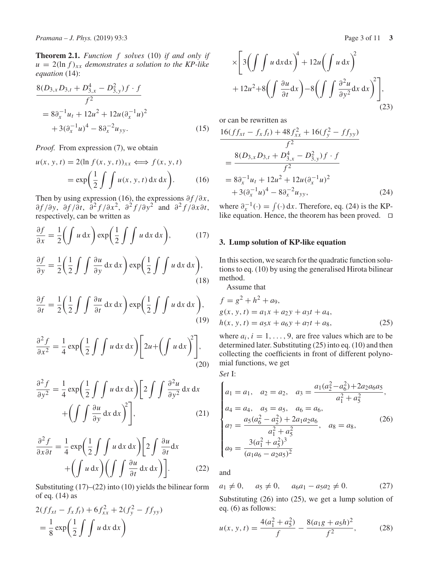**Theorem 2.1.** *Function f solves* (10) *if and only if*  $u = 2(\ln f)_{xx}$  *demonstrates a solution to the KP-like equation* (14):

$$
\frac{8(D_{3,x}D_{3,t} + D_{3,x}^4 - D_{3,y}^2)f \cdot f}{f^2}
$$
  
=  $8\partial_x^{-1}u_t + 12u^2 + 12u(\partial_x^{-1}u)^2$   
+  $3(\partial_x^{-1}u)^4 - 8\partial_x^{-2}u_{yy}$ . (15)

*Proof.* From expression (7), we obtain

$$
u(x, y, t) = 2(\ln f(x, y, t))_{xx} \Longleftrightarrow f(x, y, t)
$$

$$
= \exp\left(\frac{1}{2} \int \int u(x, y, t) dx dx\right).
$$
 (16)

Then by using expression (16), the expressions  $\partial f / \partial x$ , ∂ *f* /∂*y*, ∂ *f* /∂*t*, ∂<sup>2</sup> *f* /∂*x*2, ∂<sup>2</sup> *f* /∂*y*<sup>2</sup> and ∂<sup>2</sup> *f* /∂*x*∂*t*, respectively, can be written as

$$
\frac{\partial f}{\partial x} = \frac{1}{2} \left( \int u \, dx \right) \exp\left( \frac{1}{2} \int \int u \, dx \, dx \right), \tag{17}
$$

$$
\frac{\partial f}{\partial y} = \frac{1}{2} \left( \frac{1}{2} \int \int \frac{\partial u}{\partial y} \, \mathrm{d}x \, \mathrm{d}x \right) \exp\left( \frac{1}{2} \int \int u \, \mathrm{d}x \, \mathrm{d}x \right),\tag{18}
$$

$$
\frac{\partial f}{\partial t} = \frac{1}{2} \left( \frac{1}{2} \int \int \frac{\partial u}{\partial t} \, \mathrm{d}x \, \mathrm{d}x \right) \exp\left( \frac{1}{2} \int \int u \, \mathrm{d}x \, \mathrm{d}x \right),\tag{19}
$$

$$
\frac{\partial^2 f}{\partial x^2} = \frac{1}{4} \exp\left(\frac{1}{2} \int \int u \, dx \, dx\right) \left[2u + \left(\int u \, dx\right)^2\right],\tag{20}
$$

$$
\frac{\partial^2 f}{\partial y^2} = \frac{1}{4} \exp\left(\frac{1}{2} \int \int u \, dx \, dx\right) \left[2 \int \int \frac{\partial^2 u}{\partial y^2} \, dx \, dx + \left(\int \int \frac{\partial u}{\partial y} \, dx \, dx\right)^2\right],\tag{21}
$$

$$
\frac{\partial^2 f}{\partial x \partial t} = \frac{1}{4} \exp\left(\frac{1}{2} \int \int u \, dx \, dx\right) \left[2 \int \frac{\partial u}{\partial t} dx + \left(\int u \, dx\right) \left(\int \int \frac{\partial u}{\partial t} dx \, dx\right)\right].
$$
 (22)

Substituting  $(17)$ – $(22)$  into  $(10)$  yields the bilinear form of eq. (14) as

$$
2(f f_{xt} - f_x f_t) + 6 f_{xx}^2 + 2(f_y^2 - f f_{yy})
$$
  
=  $\frac{1}{8} \exp\left(\frac{1}{2} \int \int u \, dx \, dx\right)$ 

$$
\times \left[3\left(\int \int u \, \mathrm{d}x \, \mathrm{d}x\right)^{4} + 12u\left(\int u \, \mathrm{d}x\right)^{2} + 12u^{2} + 8\left(\int \frac{\partial u}{\partial t} \, \mathrm{d}x\right) - 8\left(\int \int \frac{\partial^{2}u}{\partial y^{2}} \, \mathrm{d}x \, \mathrm{d}x\right)^{2}\right],\tag{23}
$$

or can be rewritten as

$$
\frac{16(f_{xt} - f_x f_t) + 48 f_{xx}^2 + 16(f_y^2 - f f_{yy})}{f^2}
$$
\n
$$
= \frac{8(D_{3,x}D_{3,t} + D_{3,x}^4 - D_{3,y}^2)f \cdot f}{f^2}
$$
\n
$$
= 8\partial_x^{-1}u_t + 12u^2 + 12u(\partial_x^{-1}u)^2
$$
\n
$$
+ 3(\partial_x^{-1}u)^4 - 8\partial_x^{-2}u_{yy},
$$
\n(24)

where  $\partial_x^{-1}(\cdot) = \int (\cdot) dx$ . Therefore, eq. (24) is the KPlike equation. Hence, the theorem has been proved. □

## **3. Lump solution of KP-like equation**

In this section, we search for the quadratic function solutions to eq. (10) by using the generalised Hirota bilinear method.

Assume that

$$
f = g2 + h2 + a9,g(x, y, t) = a1x + a2y + a3t + a4,h(x, y, t) = a5x + a6y + a7t + a8,
$$
 (25)

where  $a_i$ ,  $i = 1, \ldots, 9$ , are free values which are to be determined later. Substituting (25) into eq. (10) and then collecting the coefficients in front of different polynomial functions, we get

*Set* I:

$$
\begin{cases}\na_1 = a_1, & a_2 = a_2, & a_3 = \frac{a_1(a_2^2 - a_6^2) + 2a_2a_6a_5}{a_1^2 + a_5^2}, \\
a_4 = a_4, & a_5 = a_5, & a_6 = a_6, \\
a_7 = \frac{a_5(a_6^2 - a_2^2) + 2a_1a_2a_6}{a_1^2 + a_5^2}, & a_8 = a_8, \\
a_9 = \frac{3(a_1^2 + a_5^2)^3}{(a_1a_6 - a_2a_5)^2}\n\end{cases}\n\tag{26}
$$

and

 $a_1 \neq 0$ ,  $a_5 \neq 0$ ,  $a_6a_1 - a_5a_2 \neq 0$ . (27) Substituting (26) into (25), we get a lump solution of eq. (6) as follows:

$$
u(x, y, t) = \frac{4(a_1^2 + a_5^2)}{f} - \frac{8(a_1g + a_5h)^2}{f^2},
$$
 (28)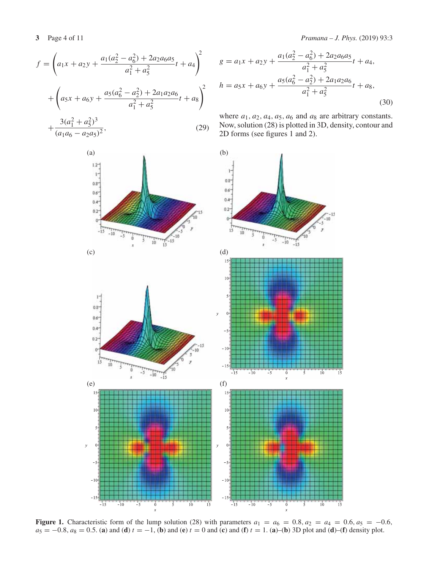$\overline{1}$ 

$$
f = \left(a_1x + a_2y + \frac{a_1(a_2^2 - a_6^2) + 2a_2a_6a_5}{a_1^2 + a_5^2}t + a_4\right)^2
$$
  
+ 
$$
\left(a_5x + a_6y + \frac{a_5(a_6^2 - a_2^2) + 2a_1a_2a_6}{a_1^2 + a_5^2}t + a_8\right)^2
$$
  
+ 
$$
\frac{3(a_1^2 + a_5^2)^3}{(a_1a_6 - a_2a_5)^2},
$$
 (29)



**3** Page 4 of 11 *Pramana – J. Phys.* (2019) 93:3

$$
g = a_1 x + a_2 y + \frac{a_1 (a_2^2 - a_6^2) + 2 a_2 a_6 a_5}{a_1^2 + a_5^2} t + a_4,
$$
  

$$
h = a_5 x + a_6 y + \frac{a_5 (a_6^2 - a_2^2) + 2 a_1 a_2 a_6}{a_1^2 + a_5^2} t + a_8,
$$
(30)

where  $a_1$ ,  $a_2$ ,  $a_4$ ,  $a_5$ ,  $a_6$  and  $a_8$  are arbitrary constants. Now, solution (28) is plotted in 3D, density, contour and 2D forms (see figures 1 and 2).



**Figure 1.** Characteristic form of the lump solution (28) with parameters  $a_1 = a_6 = 0.8$ ,  $a_2 = a_4 = 0.6$ ,  $a_5 = -0.6$ ,  $a_5 = -0.8$ ,  $a_8 = 0.5$ . (a) and (d)  $t = -1$ , (b) and (e)  $t = 0$  and (c) and (f)  $t = 1$ . (a)–(b) 3D plot and (d)–(f) density plot.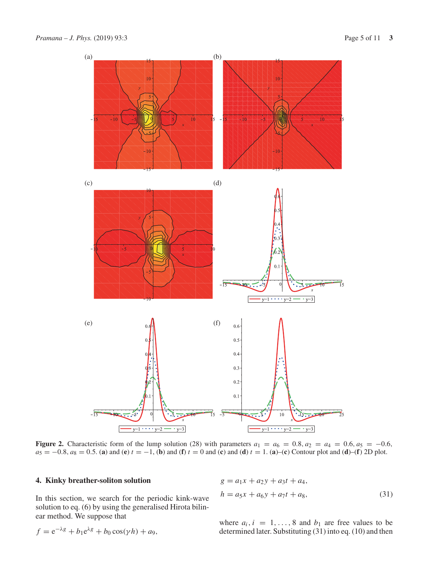

**Figure 2.** Characteristic form of the lump solution (28) with parameters  $a_1 = a_6 = 0.8$ ,  $a_2 = a_4 = 0.6$ ,  $a_5 = -0.6$ ,  $a_5 = -0.8$ ,  $a_8 = 0.5$ . (a) and (e)  $t = -1$ , (b) and (f)  $t = 0$  and (c) and (d)  $t = 1$ . (a)–(c) Contour plot and (d)–(f) 2D plot.

## **4. Kinky breather-soliton solution**

In this section, we search for the periodic kink-wave solution to eq. (6) by using the generalised Hirota bilinear method. We suppose that

$$
g = a_1x + a_2y + a_3t + a_4,
$$
  
\n
$$
h = a_5x + a_6y + a_7t + a_8,
$$
\n(31)

where  $a_i$ ,  $i = 1, ..., 8$  and  $b_1$  are free values to be determined later. Substituting (31) into eq. (10) and then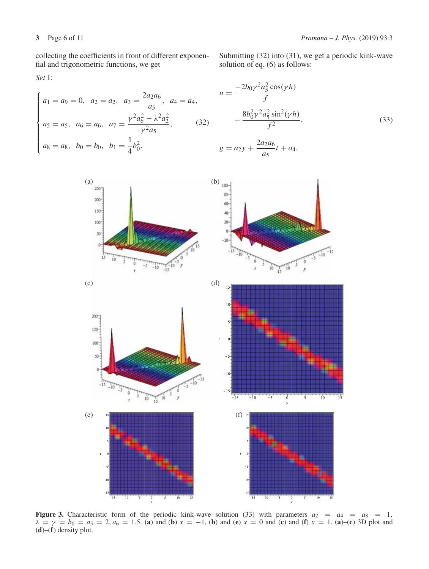collecting the coefficients in front of different exponential and trigonometric functions, we get

*Set* I:

$$
\begin{cases}\na_1 = a_9 = 0, & a_2 = a_2, & a_3 = \frac{2a_2a_6}{a_5}, & a_4 = a_4, \\
a_5 = a_5, & a_6 = a_6, & a_7 = \frac{\gamma^2 a_6^2 - \lambda^2 a_2^2}{\gamma^2 a_5}, & (32) \\
a_8 = a_8, & b_0 = b_0, & b_1 = \frac{1}{4} b_0^2.\n\end{cases}
$$

Submitting (32) into (31), we get a periodic kink-wave solution of eq. (6) as follows:

$$
u = \frac{-2b_0 \gamma^2 a_5^2 \cos(\gamma h)}{f}
$$
  
 
$$
- \frac{8b_0^2 \gamma^2 a_5^2 \sin^2(\gamma h)}{f^2},
$$
  
 
$$
g = a_2 y + \frac{2a_2 a_6}{a_5} t + a_4,
$$
 (33)

*a*5



**Figure 3.** Characteristic form of the periodic kink-wave solution (33) with parameters  $a_2 = a_4 = a_8 = 1$ ,  $\lambda = \gamma = b_0 = a_5 = 2, a_6 = 1.5$ . (**a**) and (**b**)  $x = -1$ , (**b**) and (**e**)  $x = 0$  and (**c**) and (**f**)  $x = 1$ . (**a**)–(**c**) 3D plot and (**d**)–(**f**) density plot.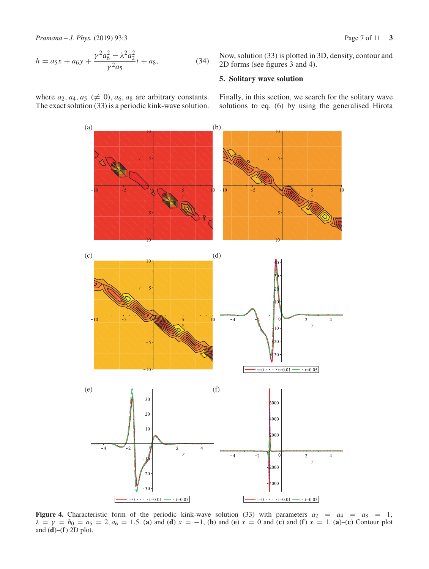*Pramana – J. Phys.* (2019) 93:3 Page 7 of 11 **3**

$$
h = a_5 x + a_6 y + \frac{\gamma^2 a_6^2 - \lambda^2 a_2^2}{\gamma^2 a_5} t + a_8,
$$
\n(34)

where  $a_2$ ,  $a_4$ ,  $a_5$  ( $\neq$  0),  $a_6$ ,  $a_8$  are arbitrary constants. The exact solution (33) is a periodic kink-wave solution. Now, solution (33) is plotted in 3D, density, contour and 2D forms (see figures 3 and 4).

## **5. Solitary wave solution**

Finally, in this section, we search for the solitary wave solutions to eq. (6) by using the generalised Hirota



**Figure 4.** Characteristic form of the periodic kink-wave solution (33) with parameters  $a_2 = a_4 = a_8 = 1$ ,  $\lambda = \gamma = b_0 = a_5 = 2, a_6 = 1.5$ . (**a**) and (**d**)  $x = -1$ , (**b**) and (**e**)  $x = 0$  and (**c**) and (**f**)  $x = 1$ . (**a**)–(**c**) Contour plot and (**d**)–(**f**) 2D plot.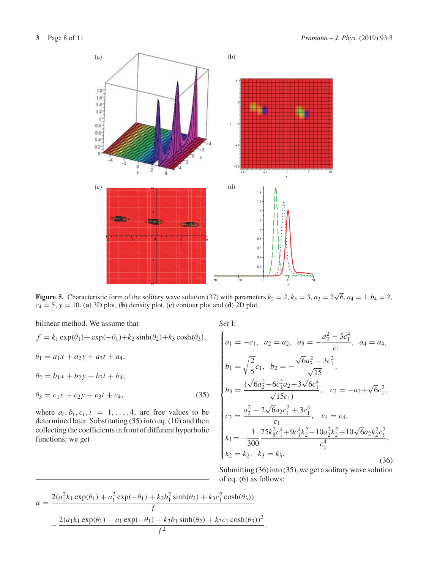

**Figure 5.** Characteristic form of the solitary wave solution (37) with parameters  $k_2 = 2$ ,  $k_3 = 3$ ,  $a_2 = 2\sqrt{6}$ ,  $a_4 = 1$ ,  $b_4 = 2$ ,  $c_4 = 5$ ,  $y = 10$ . (**a**) 3D plot, (**b**) density plot, (**c**) contour plot and (**d**) 2D plot.

bilinear method. We assume that

$$
f = k_1 \exp(\theta_1) + \exp(-\theta_1) + k_2 \sinh(\theta_2) + k_3 \cosh(\theta_3),
$$
  
\n
$$
\theta_1 = a_1 x + a_2 y + a_3 t + a_4,
$$
  
\n
$$
\theta_2 = b_1 x + b_2 y + b_3 t + b_4,
$$
  
\n
$$
\theta_3 = c_1 x + c_2 y + c_3 t + c_4,
$$
  
\nwhere  $a_i, b_i, c_i, i = 1, ..., 4$ , are free values to be

where  $a_i, b_i, c_i, i = 1, \ldots, 4$ , are free values to be determined later. Substituting (35) into eq. (10) and then collecting the coefficients in front of different hyperbolic functions, we get

*Set* I:

$$
\begin{cases}\na_1 = -c_1, \quad a_2 = a_2, \quad a_3 = -\frac{a_2^2 - 3c_1^4}{c_1}, \quad a_4 = a_4, \\
b_1 = \sqrt{\frac{2}{5}}c_1, \quad b_2 = -\frac{\sqrt{6}a_2^2 - 3c_1^2}{\sqrt{15}}, \\
b_3 = \frac{(\sqrt{6}a_2^2 - 6c_1^2a_2 + 3\sqrt{6}c_1^4}{\sqrt{15}c_1)}, \quad c_2 = -a_2 + \sqrt{6}c_1^2, \\
c_3 = \frac{a_2^2 - 2\sqrt{6}a_2c_1^2 + 3c_1^4}{c_1}, \quad c_4 = c_4, \\
k_1 = -\frac{1}{300} \frac{75k_3^2c_1^4 + 9c_1^4k_2^2 - 10a_2^2k_2^2 + 10\sqrt{6}a_2k_2^2c_1^2}{c_1^4}, \\
k_2 = k_2, \quad k_3 = k_3.\n\end{cases}
$$
\n(36)

Submitting (36) into (35), we get a solitary wave solution of eq. (6) as follows:

$$
u = \frac{2(a_1^2 k_1 \exp(\theta_1) + a_1^2 \exp(-\theta_1) + k_2 b_1^2 \sinh(\theta_2) + k_3 c_1^2 \cosh(\theta_3))}{f}
$$

$$
-\frac{2(a_1 k_1 \exp(\theta_1) - a_1 \exp(-\theta_1) + k_2 b_1 \sinh(\theta_2) + k_3 c_1 \cosh(\theta_3))^2}{f^2},
$$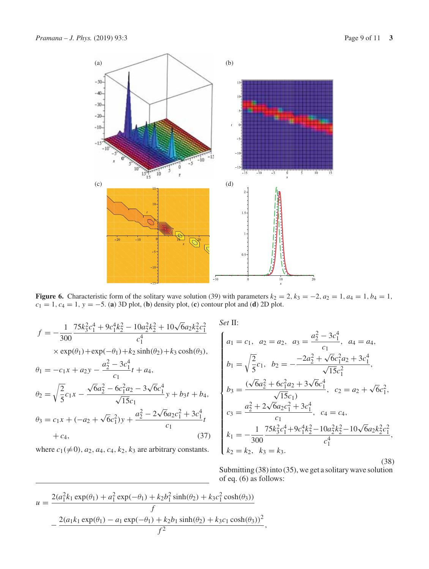

**Figure 6.** Characteristic form of the solitary wave solution (39) with parameters  $k_2 = 2$ ,  $k_3 = -2$ ,  $a_2 = 1$ ,  $a_4 = 1$ ,  $b_4 = 1$ ,  $c_1 = 1$ ,  $c_4 = 1$ ,  $y = -5$ . (**a**) 3D plot, (**b**) density plot, (**c**) contour plot and (**d**) 2D plot.

$$
f = -\frac{1}{300} \frac{75k_3^2c_1^4 + 9c_1^4k_2^2 - 10a_2^2k_2^2 + 10\sqrt{6}a_2k_2^2c_1^2}{c_1^4}
$$
  
\n
$$
\times \exp(\theta_1) + \exp(-\theta_1) + k_2 \sinh(\theta_2) + k_3 \cosh(\theta_3),
$$
  
\n
$$
\theta_1 = -c_1x + a_2y - \frac{a_2^2 - 3c_1^4}{c_1}t + a_4,
$$
  
\n
$$
\theta_2 = \sqrt{\frac{2}{5}}c_1x - \frac{\sqrt{6}a_2^2 - 6c_1^2a_2 - 3\sqrt{6}c_1^4}{\sqrt{15}c_1}y + b_3t + b_4,
$$
  
\n
$$
\theta_3 = c_1x + (-a_2 + \sqrt{6}c_1^2)y + \frac{a_2^2 - 2\sqrt{6}a_2c_1^2 + 3c_1^4}{c_1}t + c_4,
$$
  
\n(37)

where  $c_1(\neq 0)$ ,  $a_2$ ,  $a_4$ ,  $c_4$ ,  $k_2$ ,  $k_3$  are arbitrary constants.

*Set* II:

$$
\begin{cases}\na_1 = c_1, \ a_2 = a_2, \ a_3 = \frac{a_2^2 - 3c_1^4}{c_1}, \ a_4 = a_4, \\
b_1 = \sqrt{\frac{2}{5}}c_1, \ b_2 = -\frac{-2a_2^2 + \sqrt{6}c_1^2a_2 + 3c_1^4}{\sqrt{15}c_1^2}, \\
b_3 = \frac{(\sqrt{6}a_2^2 + 6c_1^2a_2 + 3\sqrt{6}c_1^4}{\sqrt{15}c_1)}, \ c_2 = a_2 + \sqrt{6}c_1^2, \\
c_3 = \frac{a_2^2 + 2\sqrt{6}a_2c_1^2 + 3c_1^4}{c_1}, \ c_4 = c_4, \\
k_1 = -\frac{1}{300}\frac{75k_3^2c_1^4 + 9c_1^4k_2^2 - 10a_2^2k_2^2 - 10\sqrt{6}a_2k_2^2c_1^2}{c_1^4}, \\
k_2 = k_2, \ k_3 = k_3.\n\end{cases}
$$
\n(38)

Submitting (38) into (35), we get a solitary wave solution of eq. (6) as follows:

$$
u = \frac{2(a_1^2 k_1 \exp(\theta_1) + a_1^2 \exp(-\theta_1) + k_2 b_1^2 \sinh(\theta_2) + k_3 c_1^2 \cosh(\theta_3))}{f}
$$

$$
-\frac{2(a_1 k_1 \exp(\theta_1) - a_1 \exp(-\theta_1) + k_2 b_1 \sinh(\theta_2) + k_3 c_1 \cosh(\theta_3))^2}{f^2},
$$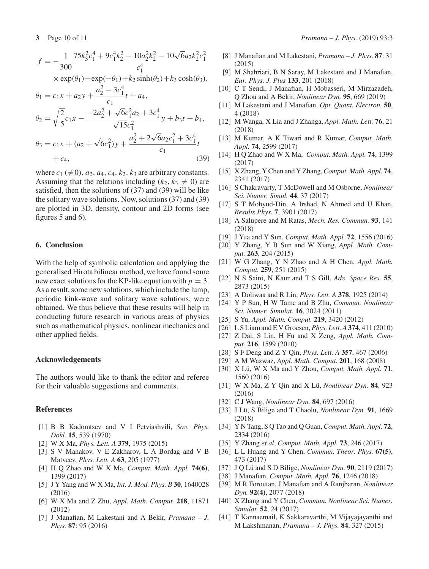$$
f = -\frac{1}{300} \frac{75k_3^2c_1^4 + 9c_1^4k_2^2 - 10a_2^2k_2^2 - 10\sqrt{6}a_2k_2^2c_1^2}{c_1^4}
$$

$$
\times \exp(\theta_1) + \exp(-\theta_1) + k_2 \sinh(\theta_2) + k_3 \cosh(\theta_3),
$$

$$
\theta_1 = c_1 x + a_2 y + \frac{a_2^2 - 3c_1^4}{c_1} t + a_4,
$$
  
\n
$$
\theta_2 = \sqrt{\frac{2}{5}} c_1 x - \frac{-2a_2^2 + \sqrt{6}c_1^2 a_2 + 3c_1^4}{\sqrt{15}c_1^2} y + b_3 t + b_4,
$$
  
\n
$$
\theta_3 = c_1 x + (a_2 + \sqrt{6}c_1^2) y + \frac{a_2^2 + 2\sqrt{6}a_2 c_1^2 + 3c_1^4}{c_1} t
$$

$$
+c_4,\t\t(39)
$$

where  $c_1 \neq 0$ ,  $a_2$ ,  $a_4$ ,  $c_4$ ,  $k_2$ ,  $k_3$  are arbitrary constants. Assuming that the relations including  $(k_2, k_3 \neq 0)$  are satisfied, then the solutions of (37) and (39) will be like the solitary wave solutions. Now, solutions (37) and (39) are plotted in 3D, density, contour and 2D forms (see figures 5 and 6).

## **6. Conclusion**

With the help of symbolic calculation and applying the generalised Hirota bilinear method, we have found some new exact solutions for the KP-like equation with  $p = 3$ . As a result, some new solutions, which include the lump, periodic kink-wave and solitary wave solutions, were obtained. We thus believe that these results will help in conducting future research in various areas of physics such as mathematical physics, nonlinear mechanics and other applied fields.

#### **Acknowledgements**

The authors would like to thank the editor and referee for their valuable suggestions and comments.

#### **References**

- [1] B B Kadomtsev and V I Petviashvili, *Sov. Phys. Dokl.* **15**, 539 (1970)
- [2] W X Ma, *Phys. Lett. A* **379**, 1975 (2015)
- [3] S V Manakov, V E Zakharov, L A Bordag and V B Matveev, *Phys. Lett. A* **63**, 205 (1977)
- [4] H Q Zhao and W X Ma, *Comput. Math. Appl.* **74(6)**, 1399 (2017)
- [5] J Y Yang and W X Ma, *Int. J. Mod. Phys. B* **30**, 1640028 (2016)
- [6] W X Ma and Z Zhu, *Appl. Math. Comput.* **218**, 11871 (2012)
- [7] J Manafian, M Lakestani and A Bekir, *Pramana J. Phys.* **87**: 95 (2016)
- [8] J Manafian and M Lakestani, *Pramana J. Phys.* **87**: 31 (2015)
- [9] M Shahriari, B N Saray, M Lakestani and J Manafian, *Eur. Phys. J. Plus* **133**, 201 (2018)
- [10] C T Sendi, J Manafian, H Mobasseri, M Mirzazadeh, Q Zhou and A Bekir, *Nonlinear Dyn.* **95**, 669 (2019)
- [11] M Lakestani and J Manafian, *Opt. Quant. Electron.* **50**, 4 (2018)
- [12] M Wanga, X Lia and J Zhanga, *Appl. Math. Lett.* **76**, 21 (2018)
- [13] M Kumar, A K Tiwari and R Kumar, *Comput. Math. Appl.* **74**, 2599 (2017)
- [14] H Q Zhao and W X Ma, *Comput. Math. Appl.* **74**, 1399 (2017)
- [15] X Zhang, Y Chen and Y Zhang,*Comput. Math. Appl.* **74**, 2341 (2017)
- [16] S Chakravarty, T McDowell and M Osborne, *Nonlinear Sci. Numer. Simul.* **44**, 37 (2017)
- [17] S T Mohyud-Din, A Irshad, N Ahmed and U Khan, *Results Phys.* **7**, 3901 (2017)
- [18] A Salupere and M Ratas, *Mech. Res. Commun.* **93**, 141 (2018)
- [19] J Yua and Y Sun, *Comput. Math. Appl.* **72**, 1556 (2016)
- [20] Y Zhang, Y B Sun and W Xiang, *Appl. Math. Comput.* **263**, 204 (2015)
- [21] W G Zhang, Y N Zhao and A H Chen, *Appl. Math. Comput.* **259**, 251 (2015)
- [22] N S Saini, N Kaur and T S Gill, *Adv. Space Res.* **55**, 2873 (2015)
- [23] A Doliwaa and R Lin, *Phys. Lett. A* **378**, 1925 (2014)
- [24] Y P Sun, H W Tamc and B Zhu, *Commun. Nonlinear Sci. Numer. Simulat.* **16**, 3024 (2011)
- [25] S Yu, *Appl. Math. Comput.* **219**, 3420 (2012)
- [26] L S Liam and E V Groesen, *Phys. Lett. A* **374**, 411 (2010)
- [27] Z Dai, S Lin, H Fu and X Zeng, *Appl. Math. Comput.* **216**, 1599 (2010)
- [28] S F Deng and Z Y Qin, *Phys. Lett. A* **357**, 467 (2006)
- [29] A M Wazwaz, *Appl. Math. Comput.* **201**, 168 (2008)
- [30] X Lü, W X Ma and Y Zhou, *Comput. Math. Appl.* **71**, 1560 (2016)
- [31] W X Ma, Z Y Qin and X Lü, *Nonlinear Dyn.* **84**, 923 (2016)
- [32] C J Wang, *Nonlinear Dyn.* **84**, 697 (2016)
- [33] J Lü, S Bilige and T Chaolu, *Nonlinear Dyn.* **91**, 1669 (2018)
- [34] Y N Tang, S Q Tao and Q Guan,*Comput. Math. Appl.* **72**, 2334 (2016)
- [35] Y Zhang *et al*, *Comput. Math. Appl.* **73**, 246 (2017)
- [36] L L Huang and Y Chen, *Commun. Theor. Phys.* **67(5)**, 473 (2017)
- [37] J Q Lü and S D Bilige, *Nonlinear Dyn.* **90**, 2119 (2017)
- [38] J Manafian, *Comput. Math. Appl.* **76**, 1246 (2018)
- [39] M R Foroutan, J Manafian and A Ranjbaran, *Nonlinear Dyn.* **92(4)**, 2077 (2018)
- [40] X Zhang and Y Chen, *Commun. Nonlinear Sci. Numer. Simulat.* **52**, 24 (2017)
- [41] T Kannaemail, K Sakkaravarthi, M Vijayajayanthi and M Lakshmanan, *Pramana – J. Phys.* **84**, 327 (2015)